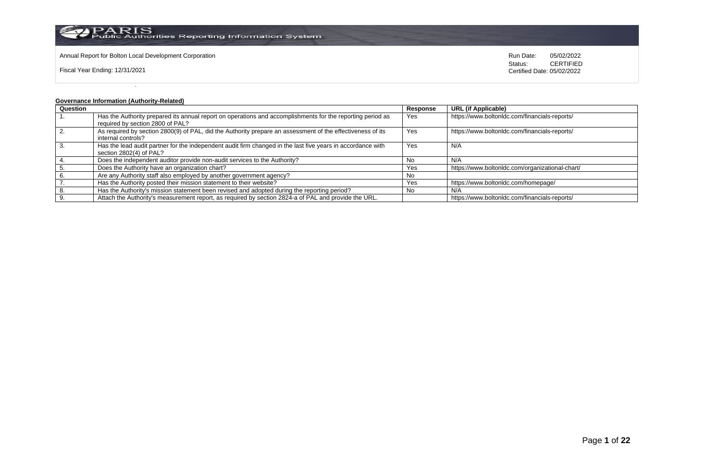

Annual Report for Bolton Local Development Corporation **Run Date:** 05/02/2022 **Run Date:** 05/02/2022

Fiscal Year Ending: 12/31/2021

Status: **CERTIFIED** Certified Date: 05/02/2022

# **Governance Information (Authority-Related)**

| Question |                                                                                                             | Response | <b>URL</b> (if Applicable)                      |
|----------|-------------------------------------------------------------------------------------------------------------|----------|-------------------------------------------------|
|          | Has the Authority prepared its annual report on operations and accomplishments for the reporting period as  | Yes      | https://www.boltonldc.com/financials-reports/   |
|          | required by section 2800 of PAL?                                                                            |          |                                                 |
|          | As required by section 2800(9) of PAL, did the Authority prepare an assessment of the effectiveness of its  | Yes      | https://www.boltonldc.com/financials-reports/   |
|          | internal controls?                                                                                          |          |                                                 |
|          | Has the lead audit partner for the independent audit firm changed in the last five years in accordance with | Yes      | N/A                                             |
|          | section 2802(4) of PAL?                                                                                     |          |                                                 |
|          | Does the independent auditor provide non-audit services to the Authority?                                   | No.      | N/A                                             |
|          | Does the Authority have an organization chart?                                                              | Yes      | https://www.boltonldc.com/organizational-chart/ |
|          | Are any Authority staff also employed by another government agency?                                         | No.      |                                                 |
|          | Has the Authority posted their mission statement to their website?                                          | Yes      | https://www.boltonldc.com/homepage/             |
|          | Has the Authority's mission statement been revised and adopted during the reporting period?                 | No       | N/A                                             |
|          | Attach the Authority's measurement report, as required by section 2824-a of PAL and provide the URL.        |          | https://www.boltonldc.com/financials-reports/   |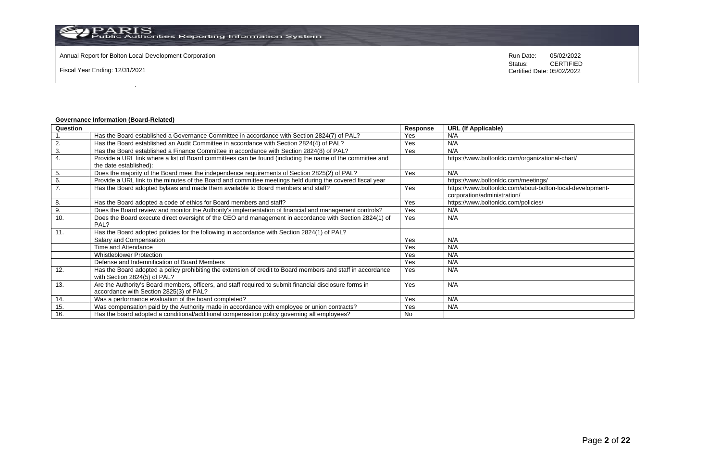Annual Report for Bolton Local Development Corporation **Run Date:** 05/02/2022 **Run Date:** 05/02/2022

Fiscal Year Ending: 12/31/2021

Status: **CERTIFIED** Certified Date: 05/02/2022

# **Governance Information (Board-Related)**

| Question          |                                                                                                                                                    | Response  | <b>URL (If Applicable)</b>                                                               |
|-------------------|----------------------------------------------------------------------------------------------------------------------------------------------------|-----------|------------------------------------------------------------------------------------------|
|                   | Has the Board established a Governance Committee in accordance with Section 2824(7) of PAL?                                                        | Yes       | N/A                                                                                      |
| 2.                | Has the Board established an Audit Committee in accordance with Section 2824(4) of PAL?                                                            | Yes       | N/A                                                                                      |
| 3.                | Has the Board established a Finance Committee in accordance with Section 2824(8) of PAL?                                                           | Yes       | N/A                                                                                      |
| 4.                | Provide a URL link where a list of Board committees can be found (including the name of the committee and<br>the date established):                |           | https://www.boltonldc.com/organizational-chart/                                          |
| 5.                | Does the majority of the Board meet the independence requirements of Section 2825(2) of PAL?                                                       | Yes       | N/A                                                                                      |
| 6.                | Provide a URL link to the minutes of the Board and committee meetings held during the covered fiscal year                                          |           | https://www.boltonIdc.com/meetings/                                                      |
| $\overline{7}$ .  | Has the Board adopted bylaws and made them available to Board members and staff?                                                                   | Yes       | https://www.boltonldc.com/about-bolton-local-development-<br>corporation/administration/ |
| 8.                | Has the Board adopted a code of ethics for Board members and staff?                                                                                | Yes       | https://www.boltonldc.com/policies/                                                      |
| 9.                | Does the Board review and monitor the Authority's implementation of financial and management controls?                                             | Yes       | N/A                                                                                      |
| 10.               | Does the Board execute direct oversight of the CEO and management in accordance with Section 2824(1) of<br>PAL?                                    | Yes       | N/A                                                                                      |
| 11.               | Has the Board adopted policies for the following in accordance with Section 2824(1) of PAL?                                                        |           |                                                                                          |
|                   | Salary and Compensation                                                                                                                            | Yes       | N/A                                                                                      |
|                   | Time and Attendance                                                                                                                                | Yes       | N/A                                                                                      |
|                   | <b>Whistleblower Protection</b>                                                                                                                    | Yes       | N/A                                                                                      |
|                   | Defense and Indemnification of Board Members                                                                                                       | Yes       | N/A                                                                                      |
| $\overline{12}$ . | Has the Board adopted a policy prohibiting the extension of credit to Board members and staff in accordance<br>with Section 2824(5) of PAL?        | Yes       | N/A                                                                                      |
| $\overline{13}$ . | Are the Authority's Board members, officers, and staff required to submit financial disclosure forms in<br>accordance with Section 2825(3) of PAL? | Yes       | N/A                                                                                      |
| 14.               | Was a performance evaluation of the board completed?                                                                                               | Yes       | N/A                                                                                      |
| 15.               | Was compensation paid by the Authority made in accordance with employee or union contracts?                                                        | Yes       | N/A                                                                                      |
| 16.               | Has the board adopted a conditional/additional compensation policy governing all employees?                                                        | <b>No</b> |                                                                                          |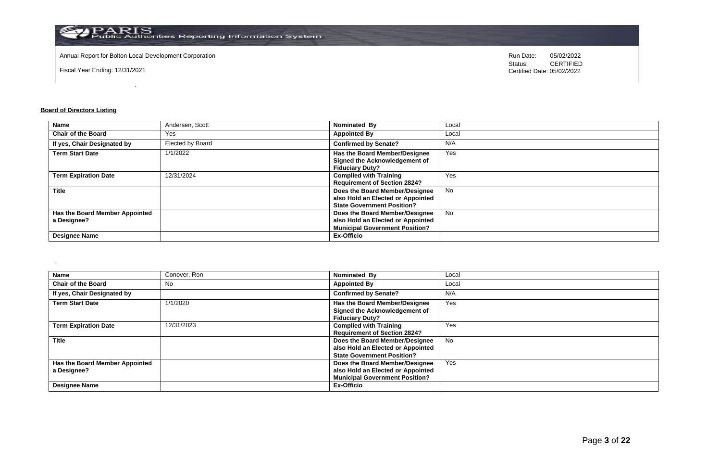Annual Report for Bolton Local Development Corporation **Run Date:** 05/02/2022 **Run Date:** 05/02/2022

Fiscal Year Ending: 12/31/2021

Status: **CERTIFIED** Certified Date: 05/02/2022

### **Board of Directors Listing**

 $\sim$ 

| <b>Name</b>                                   | Andersen, Scott  | Nominated By                                                                                                 | Local     |
|-----------------------------------------------|------------------|--------------------------------------------------------------------------------------------------------------|-----------|
| <b>Chair of the Board</b>                     | Yes              | <b>Appointed By</b>                                                                                          | Local     |
| If yes, Chair Designated by                   | Elected by Board | <b>Confirmed by Senate?</b>                                                                                  | N/A       |
| <b>Term Start Date</b>                        | 1/1/2022         | Has the Board Member/Designee<br>Signed the Acknowledgement of                                               | Yes       |
| <b>Term Expiration Date</b>                   | 12/31/2024       | <b>Fiduciary Duty?</b><br><b>Complied with Training</b><br><b>Requirement of Section 2824?</b>               | Yes       |
| <b>Title</b>                                  |                  | Does the Board Member/Designee<br>also Hold an Elected or Appointed<br><b>State Government Position?</b>     | <b>No</b> |
| Has the Board Member Appointed<br>a Designee? |                  | Does the Board Member/Designee<br>also Hold an Elected or Appointed<br><b>Municipal Government Position?</b> | <b>No</b> |
| <b>Designee Name</b>                          |                  | Ex-Officio                                                                                                   |           |

| <b>Name</b>                    | Conover, Ron | Nominated By                          | Local     |
|--------------------------------|--------------|---------------------------------------|-----------|
|                                |              |                                       |           |
| <b>Chair of the Board</b>      | No           | <b>Appointed By</b>                   | Local     |
| If yes, Chair Designated by    |              | <b>Confirmed by Senate?</b>           | N/A       |
| <b>Term Start Date</b>         | 1/1/2020     | Has the Board Member/Designee         | Yes       |
|                                |              | Signed the Acknowledgement of         |           |
|                                |              | <b>Fiduciary Duty?</b>                |           |
| <b>Term Expiration Date</b>    | 12/31/2023   | <b>Complied with Training</b>         | Yes       |
|                                |              | <b>Requirement of Section 2824?</b>   |           |
| <b>Title</b>                   |              | Does the Board Member/Designee        | <b>No</b> |
|                                |              | also Hold an Elected or Appointed     |           |
|                                |              | <b>State Government Position?</b>     |           |
| Has the Board Member Appointed |              | Does the Board Member/Designee        | Yes       |
| a Designee?                    |              | also Hold an Elected or Appointed     |           |
|                                |              | <b>Municipal Government Position?</b> |           |
| <b>Designee Name</b>           |              | Ex-Officio                            |           |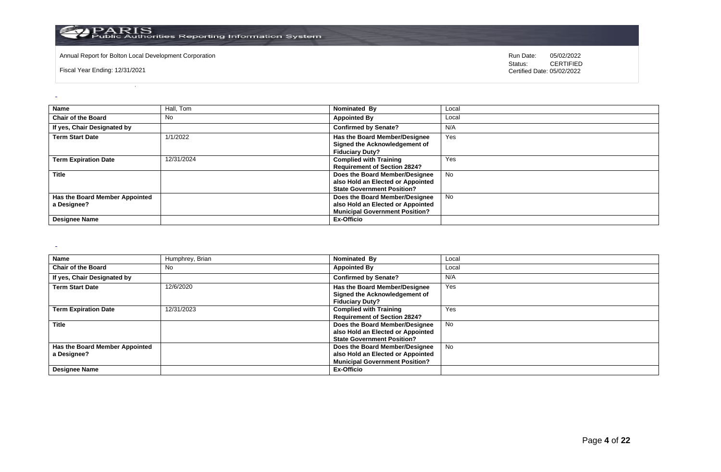Annual Report for Bolton Local Development Corporation **Run Date:** 05/02/2022

Fiscal Year Ending: 12/31/2021

Status: **CERTIFIED** Certified Date: 05/02/2022

| Name                                          | Hall. Tom  | Nominated By                                                                                                 | Local     |
|-----------------------------------------------|------------|--------------------------------------------------------------------------------------------------------------|-----------|
| <b>Chair of the Board</b>                     | No         | <b>Appointed By</b>                                                                                          | Local     |
| If yes, Chair Designated by                   |            | <b>Confirmed by Senate?</b>                                                                                  | N/A       |
| <b>Term Start Date</b>                        | 1/1/2022   | <b>Has the Board Member/Designee</b><br>Signed the Acknowledgement of<br><b>Fiduciary Duty?</b>              | Yes       |
| <b>Term Expiration Date</b>                   | 12/31/2024 | <b>Complied with Training</b><br><b>Requirement of Section 2824?</b>                                         | Yes       |
| <b>Title</b>                                  |            | Does the Board Member/Designee<br>also Hold an Elected or Appointed<br><b>State Government Position?</b>     | <b>No</b> |
| Has the Board Member Appointed<br>a Designee? |            | Does the Board Member/Designee<br>also Hold an Elected or Appointed<br><b>Municipal Government Position?</b> | <b>No</b> |
| <b>Designee Name</b>                          |            | Ex-Officio                                                                                                   |           |

 $\sim$ 

 $\omega$ 

| <b>Name</b>                    | Humphrey, Brian | Nominated By                          | Local     |
|--------------------------------|-----------------|---------------------------------------|-----------|
| <b>Chair of the Board</b>      | No              | <b>Appointed By</b>                   | Local     |
| If yes, Chair Designated by    |                 | <b>Confirmed by Senate?</b>           | N/A       |
| <b>Term Start Date</b>         | 12/6/2020       | <b>Has the Board Member/Designee</b>  | Yes       |
|                                |                 | Signed the Acknowledgement of         |           |
|                                |                 | <b>Fiduciary Duty?</b>                |           |
| <b>Term Expiration Date</b>    | 12/31/2023      | <b>Complied with Training</b>         | Yes       |
|                                |                 | <b>Requirement of Section 2824?</b>   |           |
| <b>Title</b>                   |                 | Does the Board Member/Designee        | No        |
|                                |                 | also Hold an Elected or Appointed     |           |
|                                |                 | <b>State Government Position?</b>     |           |
| Has the Board Member Appointed |                 | Does the Board Member/Designee        | <b>No</b> |
| a Designee?                    |                 | also Hold an Elected or Appointed     |           |
|                                |                 | <b>Municipal Government Position?</b> |           |
| <b>Designee Name</b>           |                 | Ex-Officio                            |           |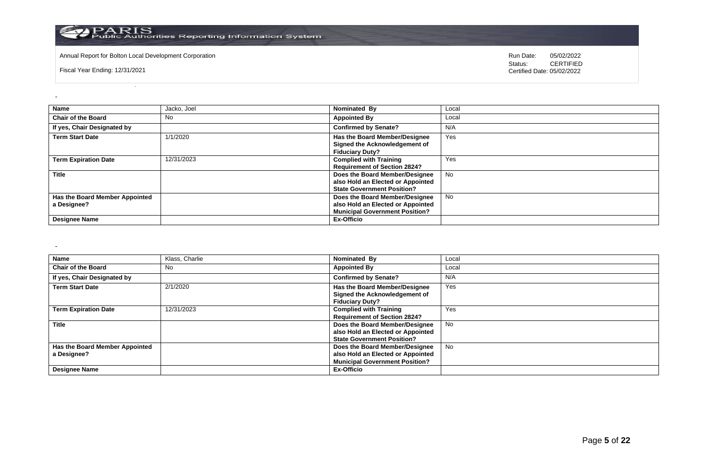Annual Report for Bolton Local Development Corporation **Run Date:** 05/02/2022

Fiscal Year Ending: 12/31/2021

Status: **CERTIFIED** Certified Date: 05/02/2022

| <b>Name</b>                    | Jacko, Joel | Nominated By                                                                                   | Local     |
|--------------------------------|-------------|------------------------------------------------------------------------------------------------|-----------|
| <b>Chair of the Board</b>      | No          | <b>Appointed By</b>                                                                            | Local     |
| If yes, Chair Designated by    |             | <b>Confirmed by Senate?</b>                                                                    | N/A       |
| <b>Term Start Date</b>         | 1/1/2020    | <b>Has the Board Member/Designee</b>                                                           | Yes       |
|                                |             |                                                                                                |           |
|                                |             |                                                                                                |           |
| <b>Term Expiration Date</b>    | 12/31/2023  | <b>Complied with Training</b>                                                                  | Yes       |
|                                |             |                                                                                                |           |
| <b>Title</b>                   |             | Does the Board Member/Designee                                                                 | <b>No</b> |
|                                |             | also Hold an Elected or Appointed                                                              |           |
|                                |             | <b>State Government Position?</b>                                                              |           |
| Has the Board Member Appointed |             | Does the Board Member/Designee                                                                 | <b>No</b> |
| a Designee?                    |             | also Hold an Elected or Appointed                                                              |           |
|                                |             | <b>Municipal Government Position?</b>                                                          |           |
| <b>Designee Name</b>           |             | Ex-Officio                                                                                     |           |
|                                |             | Signed the Acknowledgement of<br><b>Fiduciary Duty?</b><br><b>Requirement of Section 2824?</b> |           |

 $\sim$ 

 $\omega$ 

| <b>Name</b>                                   | Klass, Charlie | Nominated By                                                                                                 | Local     |
|-----------------------------------------------|----------------|--------------------------------------------------------------------------------------------------------------|-----------|
| <b>Chair of the Board</b>                     | No             | <b>Appointed By</b>                                                                                          | Local     |
| If yes, Chair Designated by                   |                | <b>Confirmed by Senate?</b>                                                                                  | N/A       |
| <b>Term Start Date</b>                        | 2/1/2020       | Has the Board Member/Designee<br>Signed the Acknowledgement of<br><b>Fiduciary Duty?</b>                     | Yes       |
| <b>Term Expiration Date</b>                   | 12/31/2023     | <b>Complied with Training</b><br><b>Requirement of Section 2824?</b>                                         | Yes       |
| <b>Title</b>                                  |                | Does the Board Member/Designee<br>also Hold an Elected or Appointed<br><b>State Government Position?</b>     | <b>No</b> |
| Has the Board Member Appointed<br>a Designee? |                | Does the Board Member/Designee<br>also Hold an Elected or Appointed<br><b>Municipal Government Position?</b> | No.       |
| <b>Designee Name</b>                          |                | Ex-Officio                                                                                                   |           |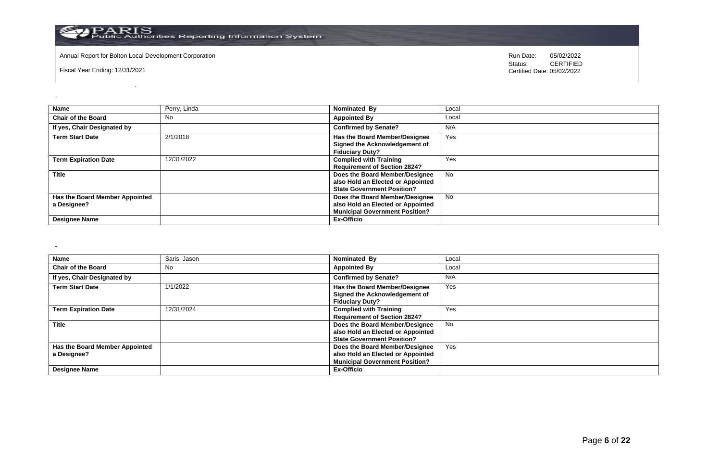Fiscal Year Ending: 12/31/2021

Annual Report for Bolton Local Development Corporation **Run Date:** 05/02/2022 **Run Date:** 05/02/2022 Status: **CERTIFIED** Certified Date: 05/02/2022

**Name** Perry, Linda **Nominated By** Local **Chair of the Board No Appointed By Local If yes, Chair Designated by Confirmed by Senate?** N/A **Term Start Date** 2/1/2018 **Has the Board Member/Designee Signed the Acknowledgement of Fiduciary Duty?** Yes **Term Expiration Date 12/31/2022 Complied with Training 12/31/2022 Complied with Training Requirement of Section 2824?** Yes **Title Does the Board Member/Designee also Hold an Elected or Appointed State Government Position?** No **Has the Board Member Appointed a Designee? Does the Board Member/Designee also Hold an Elected or Appointed Municipal Government Position?** No **Designee Name Ex-Officio**

 $\sim$ 

| Name                                          | Saris, Jason | Nominated By                                                                                                 | Local |
|-----------------------------------------------|--------------|--------------------------------------------------------------------------------------------------------------|-------|
| <b>Chair of the Board</b>                     | <b>No</b>    | <b>Appointed By</b>                                                                                          | Local |
| If yes, Chair Designated by                   |              | <b>Confirmed by Senate?</b>                                                                                  | N/A   |
| <b>Term Start Date</b>                        | 1/1/2022     | <b>Has the Board Member/Designee</b><br>Signed the Acknowledgement of<br><b>Fiduciary Duty?</b>              | Yes   |
| <b>Term Expiration Date</b>                   | 12/31/2024   | <b>Complied with Training</b><br><b>Requirement of Section 2824?</b>                                         | Yes   |
| Title                                         |              | Does the Board Member/Designee<br>also Hold an Elected or Appointed<br><b>State Government Position?</b>     | No.   |
| Has the Board Member Appointed<br>a Designee? |              | Does the Board Member/Designee<br>also Hold an Elected or Appointed<br><b>Municipal Government Position?</b> | Yes   |
| <b>Designee Name</b>                          |              | <b>Ex-Officio</b>                                                                                            |       |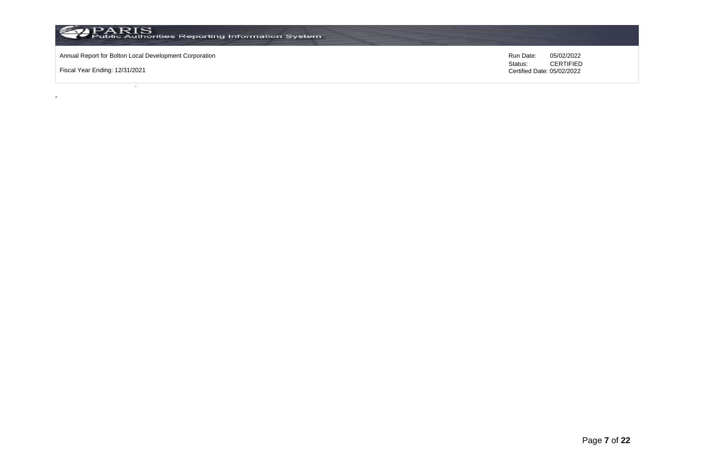

Annual Report for Bolton Local Development Corporation **Run Date:** 05/02/2022

Fiscal Year Ending: 12/31/2021

 $\omega$ 

Status: **CERTIFIED** Certified Date: 05/02/2022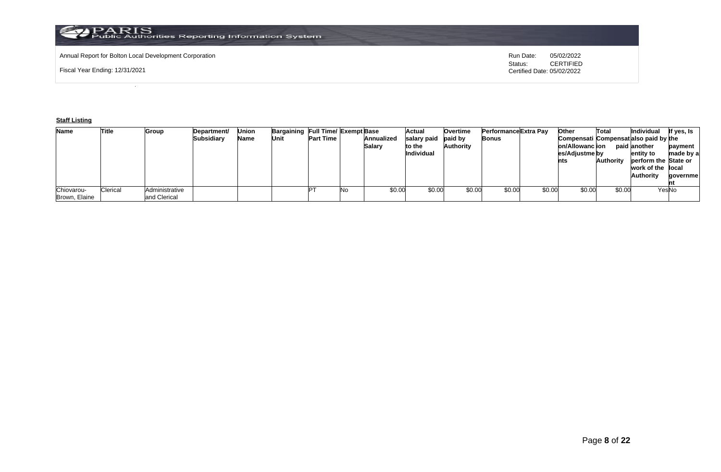| <b>EXARIS</b><br>Public Authorities Reporting Information System |                                       |            |
|------------------------------------------------------------------|---------------------------------------|------------|
| Annual Report for Bolton Local Development Corporation           | Run Date:                             | 05/02/2022 |
| Fiscal Year Ending: 12/31/2021                                   | Status:<br>Certified Date: 05/02/2022 | CERTIFIED  |
|                                                                  |                                       |            |

# **Staff Listing**

| <b>Name</b>   | Title    | Group          | Department/       | Union | Bargaining Full Time/ Exempt Base |                  |    |               | Actual              | <b>Overtime</b> | <b>Performance Extra Pay</b> |        | <b>Other</b>                          | Total     | Individual           | lf yes, Is |
|---------------|----------|----------------|-------------------|-------|-----------------------------------|------------------|----|---------------|---------------------|-----------------|------------------------------|--------|---------------------------------------|-----------|----------------------|------------|
|               |          |                | <b>Subsidiary</b> | Name  | Unit                              | <b>Part Time</b> |    | Annualized    | salary paid paid by |                 | <b>Bonus</b>                 |        | Compensati Compensatialso paid by the |           |                      |            |
|               |          |                |                   |       |                                   |                  |    | <b>Salary</b> | to the              | Authority       |                              |        | on/Allowanc ion                       |           | paid another         | payment    |
|               |          |                |                   |       |                                   |                  |    |               | <b>Individual</b>   |                 |                              |        | es/Adjustme by                        |           | entity to            | made by a  |
|               |          |                |                   |       |                                   |                  |    |               |                     |                 |                              |        | nts                                   | Authority | perform the State or |            |
|               |          |                |                   |       |                                   |                  |    |               |                     |                 |                              |        |                                       |           | work of the local    |            |
|               |          |                |                   |       |                                   |                  |    |               |                     |                 |                              |        |                                       |           | <b>Authority</b>     | qovernme   |
|               |          |                |                   |       |                                   |                  |    |               |                     |                 |                              |        |                                       |           |                      |            |
| Chiovarou-    | Clerical | Administrative |                   |       |                                   |                  | Νo | \$0.00        | \$0.00              | \$0.00          | \$0.00                       | \$0.00 | \$0.00                                | \$0.00    | YesNo                |            |
| Brown, Elaine |          | and Clerical   |                   |       |                                   |                  |    |               |                     |                 |                              |        |                                       |           |                      |            |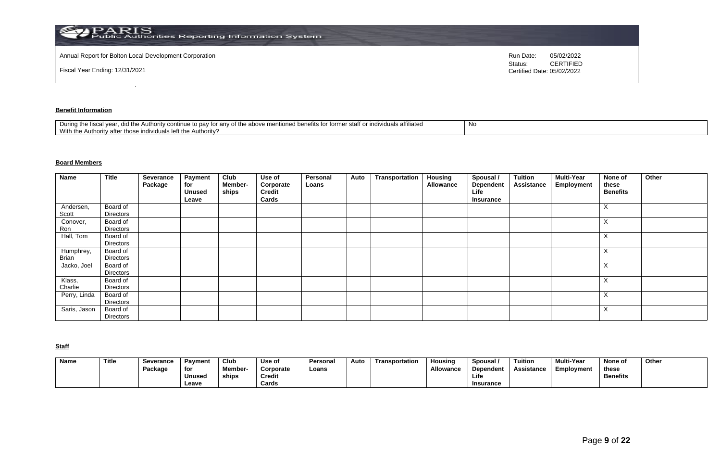| <b>PARIS</b><br>Public Authorities Reporting Information System |                                                           |
|-----------------------------------------------------------------|-----------------------------------------------------------|
| Annual Report for Bolton Local Development Corporation          | Run Date:<br>05/02/2022                                   |
| Fiscal Year Ending: 12/31/2021                                  | <b>CERTIFIED</b><br>Status:<br>Certified Date: 05/02/2022 |

# **Benefit Information**

| -N Ic<br><sub>ີ</sub> e mentioned benefits for former staff or individuals affiliated<br>d the Authority continue to<br>e to pav for any of the above men<br>During the fiscal vear.<br>With the Authority after those individuals left the Authority? |  |
|--------------------------------------------------------------------------------------------------------------------------------------------------------------------------------------------------------------------------------------------------------|--|
|--------------------------------------------------------------------------------------------------------------------------------------------------------------------------------------------------------------------------------------------------------|--|

# **Board Members**

| Name         | <b>Title</b> | Severance<br>Package | <b>Payment</b><br>for<br><b>Unused</b> | Club<br>Member-<br>ships | Use of<br>Corporate<br><b>Credit</b> | Personal<br>Loans | Auto | Transportation | <b>Housing</b><br>Allowance | Spousal /<br>Dependent<br>Life | Tuition<br><b>Assistance</b> | <b>Multi-Year</b><br><b>Employment</b> | None of<br>these<br><b>Benefits</b> | Other |
|--------------|--------------|----------------------|----------------------------------------|--------------------------|--------------------------------------|-------------------|------|----------------|-----------------------------|--------------------------------|------------------------------|----------------------------------------|-------------------------------------|-------|
|              |              |                      | Leave                                  |                          | Cards                                |                   |      |                |                             | Insurance                      |                              |                                        |                                     |       |
| Andersen,    | Board of     |                      |                                        |                          |                                      |                   |      |                |                             |                                |                              |                                        | $\lambda$                           |       |
| Scott        | Directors    |                      |                                        |                          |                                      |                   |      |                |                             |                                |                              |                                        |                                     |       |
| Conover,     | Board of     |                      |                                        |                          |                                      |                   |      |                |                             |                                |                              |                                        | X                                   |       |
| Ron          | Directors    |                      |                                        |                          |                                      |                   |      |                |                             |                                |                              |                                        |                                     |       |
| Hall, Tom    | Board of     |                      |                                        |                          |                                      |                   |      |                |                             |                                |                              |                                        | $\lambda$                           |       |
|              | Directors    |                      |                                        |                          |                                      |                   |      |                |                             |                                |                              |                                        |                                     |       |
| Humphrey,    | Board of     |                      |                                        |                          |                                      |                   |      |                |                             |                                |                              |                                        | ⋏                                   |       |
| Brian        | Directors    |                      |                                        |                          |                                      |                   |      |                |                             |                                |                              |                                        |                                     |       |
| Jacko, Joel  | Board of     |                      |                                        |                          |                                      |                   |      |                |                             |                                |                              |                                        | X                                   |       |
|              | Directors    |                      |                                        |                          |                                      |                   |      |                |                             |                                |                              |                                        |                                     |       |
| Klass,       | Board of     |                      |                                        |                          |                                      |                   |      |                |                             |                                |                              |                                        | $\lambda$                           |       |
| Charlie      | Directors    |                      |                                        |                          |                                      |                   |      |                |                             |                                |                              |                                        |                                     |       |
| Perry, Linda | Board of     |                      |                                        |                          |                                      |                   |      |                |                             |                                |                              |                                        | X                                   |       |
|              | Directors    |                      |                                        |                          |                                      |                   |      |                |                             |                                |                              |                                        |                                     |       |
| Saris, Jason | Board of     |                      |                                        |                          |                                      |                   |      |                |                             |                                |                              |                                        | X                                   |       |
|              | Directors    |                      |                                        |                          |                                      |                   |      |                |                             |                                |                              |                                        |                                     |       |

**Staff**

| Name | Title | Severance | Payment | Club          | Use of    | Personal | Auto | <b>Transportation</b> | Housing   | Spousal   | Tuition    | Multi-Year | None of         | Other |
|------|-------|-----------|---------|---------------|-----------|----------|------|-----------------------|-----------|-----------|------------|------------|-----------------|-------|
|      |       | Package   | for     | <b>Member</b> | Corporate | Loans    |      |                       | Allowance | Dependent | Assistance | Employment | these           |       |
|      |       |           | Unused  | ships         | Credit    |          |      |                       |           | Life      |            |            | <b>Benefits</b> |       |
|      |       |           | Leave   |               | Cards     |          |      |                       |           | Insurance |            |            |                 |       |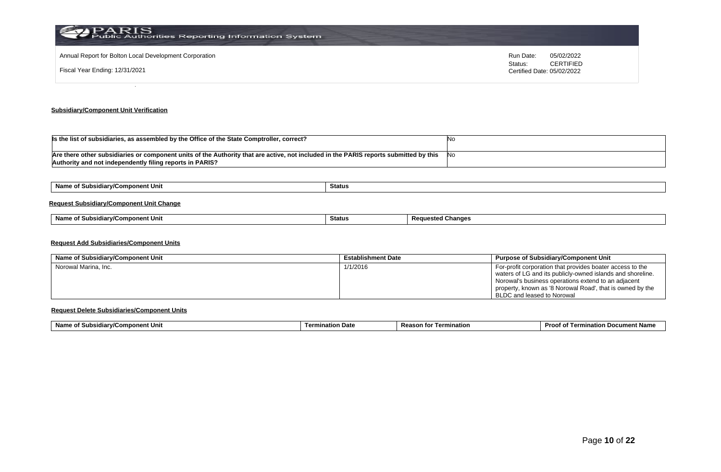| PARIS<br>Public Authorities Reporting Information System |                                                           |
|----------------------------------------------------------|-----------------------------------------------------------|
| Annual Report for Bolton Local Development Corporation   | 05/02/2022<br>Run Date:                                   |
| Fiscal Year Ending: 12/31/2021                           | <b>CERTIFIED</b><br>Status:<br>Certified Date: 05/02/2022 |
|                                                          |                                                           |

# **Subsidiary/Component Unit Verification**

| Is the list of subsidiaries, as assembled by the Office of the State Comptroller, correct?                                            | IN C |
|---------------------------------------------------------------------------------------------------------------------------------------|------|
|                                                                                                                                       |      |
| Are there other subsidiaries or component units of the Authority that are active, not included in the PARIS reports submitted by this | - No |
| Authority and not independently filing reports in PARIS?                                                                              |      |

| <b>Name</b><br><sub>ົ</sub> ∩nent Unit<br>Subsidi?<br>.rv/Compor<br>ОТ | <b>Status</b> |
|------------------------------------------------------------------------|---------------|
|                                                                        |               |

# **Request Subsidiary/Component Unit Change**

| <b>Name</b><br><br>Status<br>›sidiarv/Component Unit<br>$\cdot$ | $\sim$ $\sim$ $\sim$<br>ıested<br>Real<br><b>Changes</b> |
|-----------------------------------------------------------------|----------------------------------------------------------|
|-----------------------------------------------------------------|----------------------------------------------------------|

#### **Request Add Subsidiaries/Component Units**

| Name of Subsidiary/Component Unit | <b>Establishment Date</b> | <b>Purpose of Subsidiary/Component Unit</b>                                                                                                                                    |
|-----------------------------------|---------------------------|--------------------------------------------------------------------------------------------------------------------------------------------------------------------------------|
| Norowal Marina, Inc.              | 1/1/2016                  | For-profit corporation that provides boater access to the<br>waters of LG and its publicly-owned islands and shoreline.<br>Norowal's business operations extend to an adjacent |
|                                   |                           | property, known as '8 Norowal Road', that is owned by the<br>BLDC and leased to Norowal                                                                                        |

### **Request Delete Subsidiaries/Component Units**

| . .<br>. .<br>$\sim$<br>.<br>113 F V<br>$\mathbf{u}$<br> |                      |                |                                                     |                                   |
|----------------------------------------------------------|----------------------|----------------|-----------------------------------------------------|-----------------------------------|
|                                                          | Name<br>mponent Unit | ion Date<br>ша | <b>ination</b><br>season for <b>the season</b><br>. | ı Document Name<br>ıon<br>на<br>. |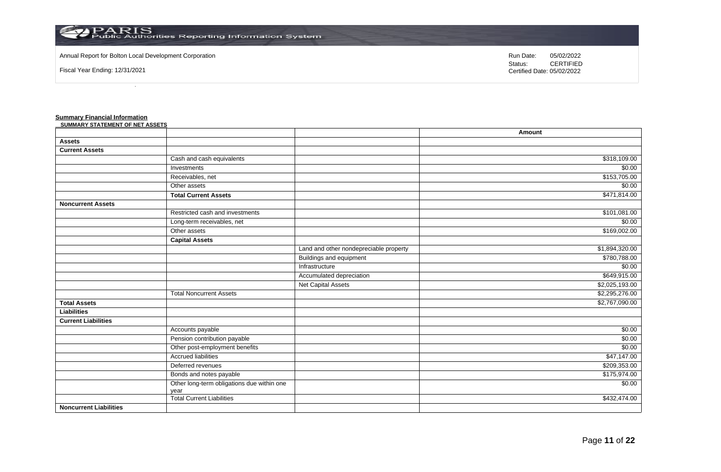

Annual Report for Bolton Local Development Corporation **Run Date:** 05/02/2022 **Run Date:** 05/02/2022

Fiscal Year Ending: 12/31/2021

Status: **CERTIFIED** Certified Date: 05/02/2022

#### **Summary Financial Information**

| SUMMARY STATEMENT OF NET ASSETS |                                            |                                        |                |
|---------------------------------|--------------------------------------------|----------------------------------------|----------------|
|                                 |                                            |                                        | Amount         |
| <b>Assets</b>                   |                                            |                                        |                |
| <b>Current Assets</b>           |                                            |                                        |                |
|                                 | Cash and cash equivalents                  |                                        | \$318,109.00   |
|                                 | Investments                                |                                        | \$0.00         |
|                                 | Receivables, net                           |                                        | \$153,705.00   |
|                                 | Other assets                               |                                        | \$0.00         |
|                                 | <b>Total Current Assets</b>                |                                        | \$471,814.00   |
| <b>Noncurrent Assets</b>        |                                            |                                        |                |
|                                 | Restricted cash and investments            |                                        | \$101,081.00   |
|                                 | Long-term receivables, net                 |                                        | \$0.00         |
|                                 | Other assets                               |                                        | \$169,002.00   |
|                                 | <b>Capital Assets</b>                      |                                        |                |
|                                 |                                            | Land and other nondepreciable property | \$1,894,320.00 |
|                                 |                                            | <b>Buildings and equipment</b>         | \$780,788.00   |
|                                 |                                            | Infrastructure                         | \$0.00         |
|                                 |                                            | Accumulated depreciation               | \$649,915.00   |
|                                 |                                            | Net Capital Assets                     | \$2,025,193.00 |
|                                 | <b>Total Noncurrent Assets</b>             |                                        | \$2,295,276.00 |
| <b>Total Assets</b>             |                                            |                                        | \$2,767,090.00 |
| <b>Liabilities</b>              |                                            |                                        |                |
| <b>Current Liabilities</b>      |                                            |                                        |                |
|                                 | Accounts payable                           |                                        | \$0.00         |
|                                 | Pension contribution payable               |                                        | \$0.00         |
|                                 | Other post-employment benefits             |                                        | \$0.00         |
|                                 | <b>Accrued liabilities</b>                 |                                        | \$47,147.00    |
|                                 | Deferred revenues                          |                                        | \$209,353.00   |
|                                 | Bonds and notes payable                    |                                        | \$175,974.00   |
|                                 | Other long-term obligations due within one |                                        | \$0.00         |
|                                 | year                                       |                                        |                |
|                                 | <b>Total Current Liabilities</b>           |                                        | \$432,474.00   |
| <b>Noncurrent Liabilities</b>   |                                            |                                        |                |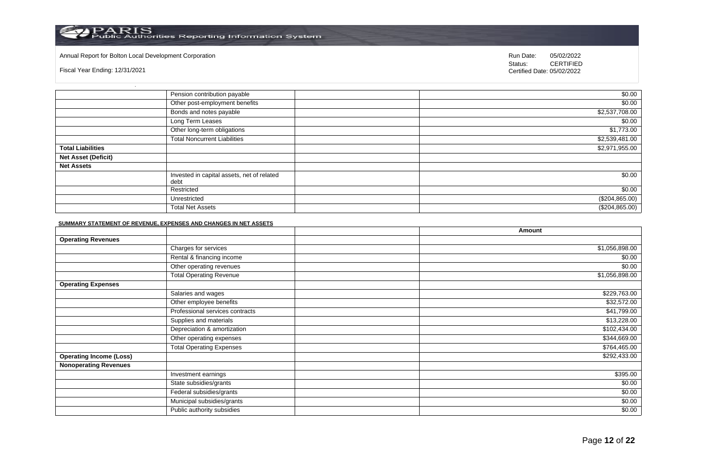Annual Report for Bolton Local Development Corporation **Run Date:** 05/02/2022 **Run Date:** 05/02/2022

Fiscal Year Ending: 12/31/2021

Status: **CERTIFIED** Certified Date: 05/02/2022

|                            | Pension contribution payable                       | \$0.00          |
|----------------------------|----------------------------------------------------|-----------------|
|                            | Other post-employment benefits                     | \$0.00          |
|                            | Bonds and notes payable                            | \$2,537,708.00  |
|                            | Long Term Leases                                   | \$0.00          |
|                            | Other long-term obligations                        | \$1,773.00      |
|                            | <b>Total Noncurrent Liabilities</b>                | \$2,539,481.00  |
| <b>Total Liabilities</b>   |                                                    | \$2,971,955.00  |
| <b>Net Asset (Deficit)</b> |                                                    |                 |
| <b>Net Assets</b>          |                                                    |                 |
|                            | Invested in capital assets, net of related<br>debt | \$0.00          |
|                            | Restricted                                         | \$0.00          |
|                            | Unrestricted                                       | (\$204, 865.00) |
|                            | <b>Total Net Assets</b>                            | (\$204, 865.00) |

#### **SUMMARY STATEMENT OF REVENUE, EXPENSES AND CHANGES IN NET ASSETS**

|                                |                                 | Amount         |
|--------------------------------|---------------------------------|----------------|
| <b>Operating Revenues</b>      |                                 |                |
|                                | Charges for services            | \$1,056,898.00 |
|                                | Rental & financing income       | \$0.00         |
|                                | Other operating revenues        | \$0.00         |
|                                | <b>Total Operating Revenue</b>  | \$1,056,898.00 |
| <b>Operating Expenses</b>      |                                 |                |
|                                | Salaries and wages              | \$229,763.00   |
|                                | Other employee benefits         | \$32,572.00    |
|                                | Professional services contracts | \$41,799.00    |
|                                | Supplies and materials          | \$13,228.00    |
|                                | Depreciation & amortization     | \$102,434.00   |
|                                | Other operating expenses        | \$344,669.00   |
|                                | <b>Total Operating Expenses</b> | \$764,465.00   |
| <b>Operating Income (Loss)</b> |                                 | \$292,433.00   |
| <b>Nonoperating Revenues</b>   |                                 |                |
|                                | Investment earnings             | \$395.00       |
|                                | State subsidies/grants          | \$0.00         |
|                                | Federal subsidies/grants        | \$0.00         |
|                                | Municipal subsidies/grants      | \$0.00         |
|                                | Public authority subsidies      | \$0.00         |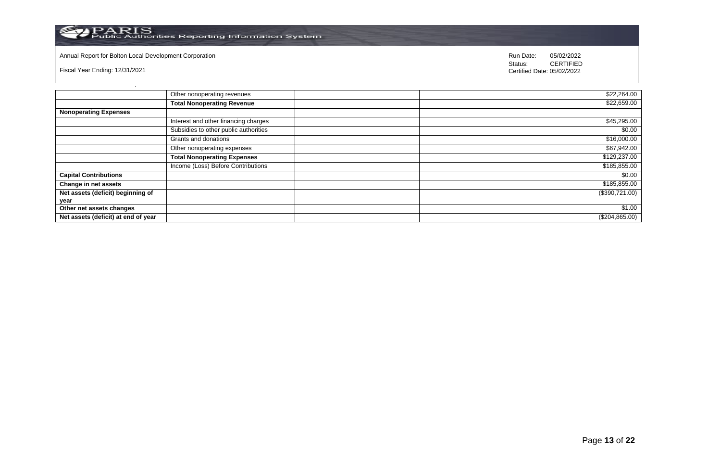Annual Report for Bolton Local Development Corporation **Run Date:** 05/02/2022

Fiscal Year Ending: 12/31/2021

Status: **CERTIFIED** Certified Date: 05/02/2022

|                                     | Other nonoperating revenues           | \$22,264.00      |
|-------------------------------------|---------------------------------------|------------------|
|                                     | <b>Total Nonoperating Revenue</b>     | \$22,659.00      |
| <b>Nonoperating Expenses</b>        |                                       |                  |
|                                     | Interest and other financing charges  | \$45,295.00      |
|                                     | Subsidies to other public authorities | \$0.00           |
|                                     | Grants and donations                  | \$16,000.00      |
|                                     | Other nonoperating expenses           | \$67,942.00      |
|                                     | <b>Total Nonoperating Expenses</b>    | \$129,237.00     |
|                                     | Income (Loss) Before Contributions    | \$185,855.00     |
| <b>Capital Contributions</b>        |                                       | \$0.00           |
| Change in net assets                |                                       | \$185,855.00     |
| Net assets (deficit) beginning of   |                                       | (\$390,721.00)   |
| year                                |                                       |                  |
| Other net assets changes            |                                       | \$1.00           |
| Net assets (deficit) at end of year |                                       | $(\$204,865.00)$ |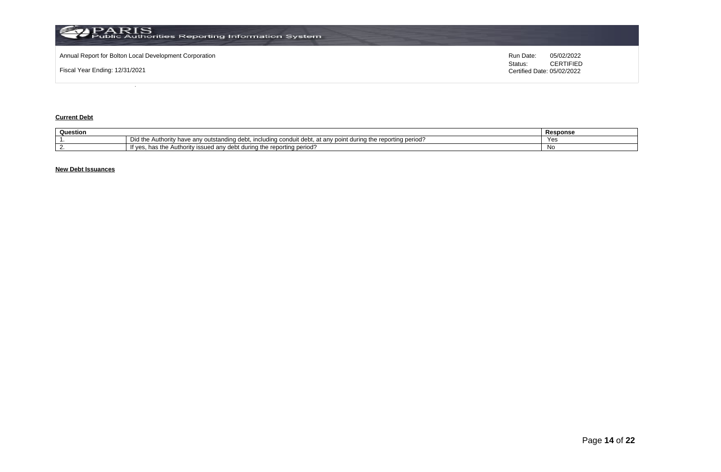

## **Current Debt**

| Question |                                                                                                                                                                                           | Response |
|----------|-------------------------------------------------------------------------------------------------------------------------------------------------------------------------------------------|----------|
|          | — Did thr<br>he reporting period's<br>Authority have any<br>/ outstandıng debt.<br>$+0h+$<br>…oint during th<br><b>Including</b><br>$ \sim \sim \sim \sim \sim \sim $<br>at anv<br>conqui | Yes      |
|          | rting period<br>during the report<br>has the<br>a Authority issued any debt<br>vu.                                                                                                        | N)       |

# **New Debt Issuances**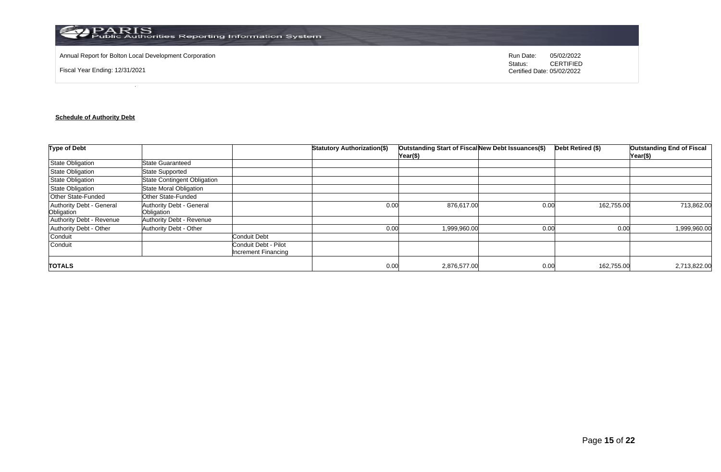

Annual Report for Bolton Local Development Corporation **Run Date:** 05/02/2022

Fiscal Year Ending: 12/31/2021

Status: **CERTIFIED** Certified Date: 05/02/2022

# **Schedule of Authority Debt**

| <b>Type of Debt</b>                    |                                               |                                             | <b>Statutory Authorization(\$)</b> | Outstanding Start of FiscalNew Debt Issuances(\$)<br>Year(\$) |      | Debt Retired (\$) | <b>Outstanding End of Fiscal</b><br>Year(\$) |
|----------------------------------------|-----------------------------------------------|---------------------------------------------|------------------------------------|---------------------------------------------------------------|------|-------------------|----------------------------------------------|
| <b>State Obligation</b>                | <b>State Guaranteed</b>                       |                                             |                                    |                                                               |      |                   |                                              |
| <b>State Obligation</b>                | <b>State Supported</b>                        |                                             |                                    |                                                               |      |                   |                                              |
| State Obligation                       | <b>State Contingent Obligation</b>            |                                             |                                    |                                                               |      |                   |                                              |
| <b>State Obligation</b>                | State Moral Obligation                        |                                             |                                    |                                                               |      |                   |                                              |
| <b>Other State-Funded</b>              | Other State-Funded                            |                                             |                                    |                                                               |      |                   |                                              |
| Authority Debt - General<br>Obligation | <b>Authority Debt - General</b><br>Obligation |                                             | 0.00                               | 876,617.00                                                    | 0.00 | 162,755.00        | 713,862.00                                   |
| Authority Debt - Revenue               | Authority Debt - Revenue                      |                                             |                                    |                                                               |      |                   |                                              |
| Authority Debt - Other                 | Authority Debt - Other                        |                                             | 0.00                               | 1,999,960.00                                                  | 0.00 | 0.00              | 1,999,960.00                                 |
| Conduit                                |                                               | <b>Conduit Debt</b>                         |                                    |                                                               |      |                   |                                              |
| Conduit                                |                                               | Conduit Debt - Pilot<br>Increment Financing |                                    |                                                               |      |                   |                                              |
| <b>TOTALS</b>                          |                                               |                                             | 0.00                               | 2,876,577.00                                                  | 0.00 | 162,755.00        | 2,713,822.00                                 |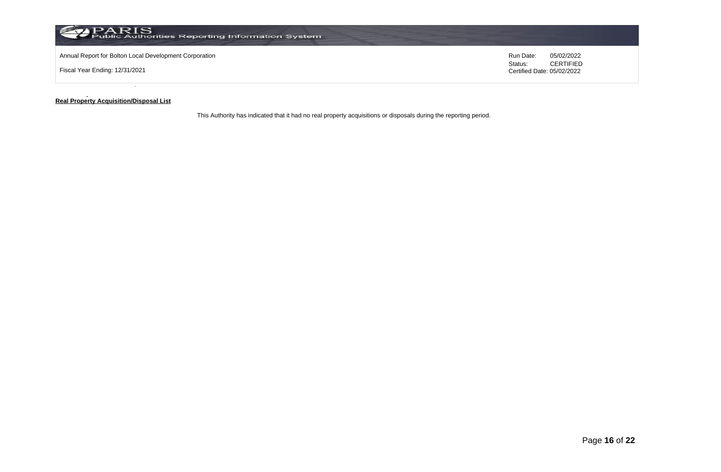

#### **Real Property Acquisition/Disposal List**

This Authority has indicated that it had no real property acquisitions or disposals during the reporting period.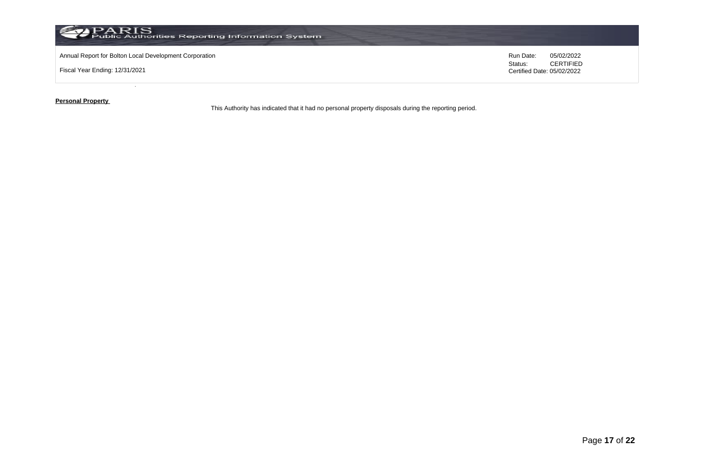

**Personal Property** 

This Authority has indicated that it had no personal property disposals during the reporting period.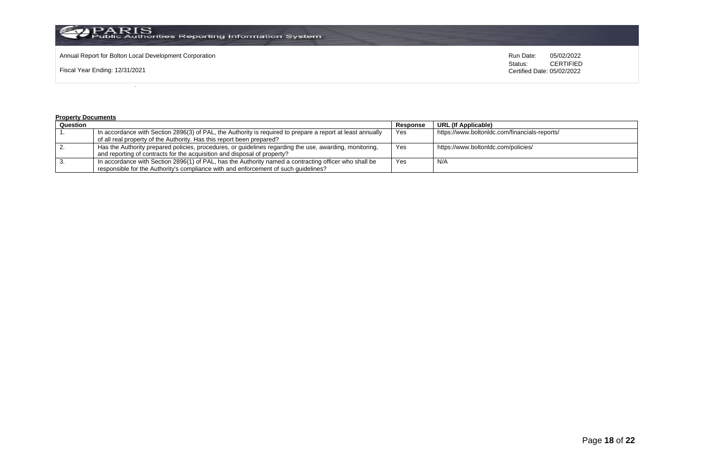

Annual Report for Bolton Local Development Corporation **Run Date:** 05/02/2022

Fiscal Year Ending: 12/31/2021

Status: **CERTIFIED** Certified Date: 05/02/2022

**Property Documents**

| Question |                                                                                                            | Response | URL (If Applicable)                           |
|----------|------------------------------------------------------------------------------------------------------------|----------|-----------------------------------------------|
|          | In accordance with Section 2896(3) of PAL, the Authority is required to prepare a report at least annually | Yes      | https://www.boltonIdc.com/financials-reports/ |
|          | of all real property of the Authority. Has this report been prepared?                                      |          |                                               |
|          | Has the Authority prepared policies, procedures, or guidelines regarding the use, awarding, monitoring,    | Yes      | https://www.boltonIdc.com/policies/           |
|          | and reporting of contracts for the acquisition and disposal of property?                                   |          |                                               |
|          | In accordance with Section 2896(1) of PAL, has the Authority named a contracting officer who shall be      | Yes      | N/A                                           |
|          | responsible for the Authority's compliance with and enforcement of such quidelines?                        |          |                                               |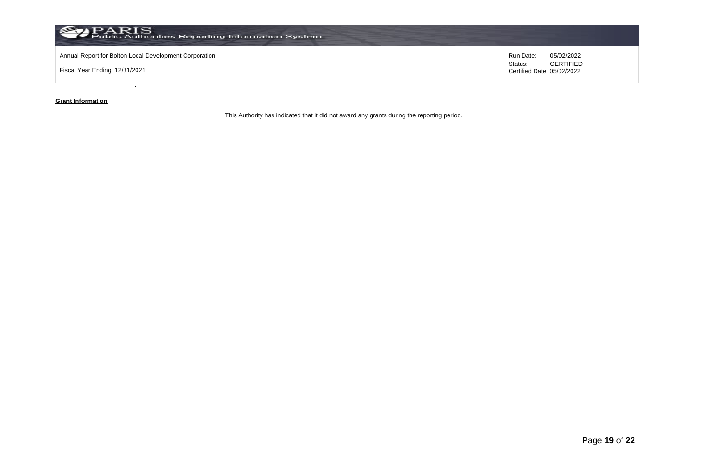

### **Grant Information**

This Authority has indicated that it did not award any grants during the reporting period.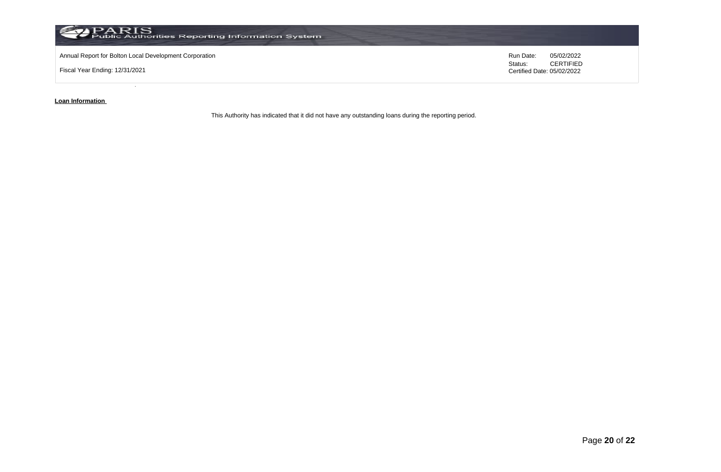

**Loan Information** 

This Authority has indicated that it did not have any outstanding loans during the reporting period.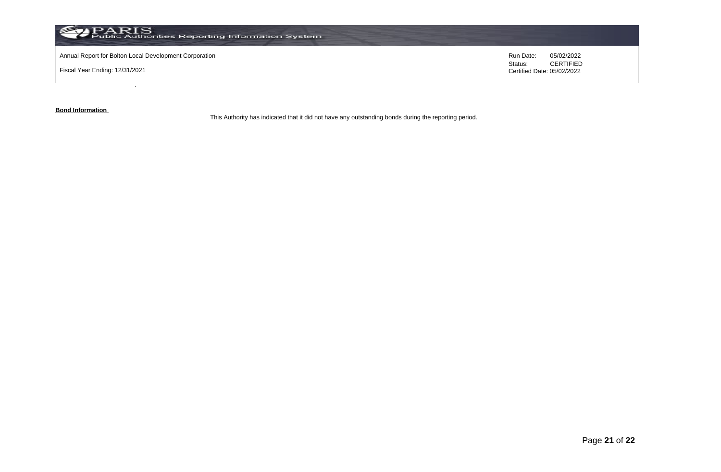

**Bond Information** 

This Authority has indicated that it did not have any outstanding bonds during the reporting period.